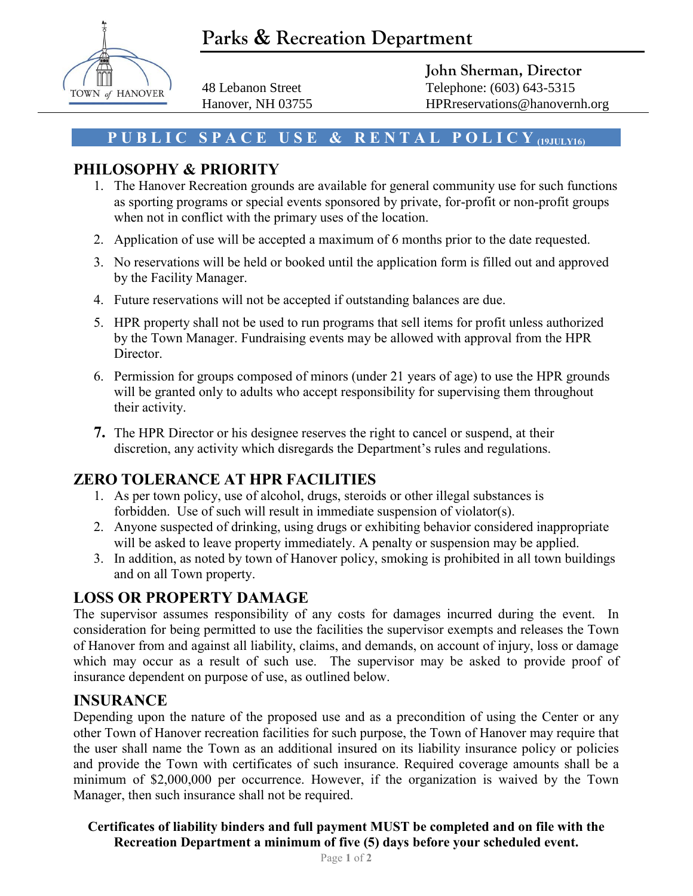# **Parks & Recreation Department**



**John Sherman, Director** 48 Lebanon Street Telephone: (603) 643-5315 Hanover, NH 03755 HPRreservations@hanovernh.org

#### **P U B L I C S P A C E U S E & R E N T A L P O L I C Y (19JULY16)**

### **PHILOSOPHY & PRIORITY**

- 1. The Hanover Recreation grounds are available for general community use for such functions as sporting programs or special events sponsored by private, for-profit or non-profit groups when not in conflict with the primary uses of the location.
- 2. Application of use will be accepted a maximum of 6 months prior to the date requested.
- 3. No reservations will be held or booked until the application form is filled out and approved by the Facility Manager.
- 4. Future reservations will not be accepted if outstanding balances are due.
- 5. HPR property shall not be used to run programs that sell items for profit unless authorized by the Town Manager. Fundraising events may be allowed with approval from the HPR Director.
- 6. Permission for groups composed of minors (under 21 years of age) to use the HPR grounds will be granted only to adults who accept responsibility for supervising them throughout their activity.
- **7.** The HPR Director or his designee reserves the right to cancel or suspend, at their discretion, any activity which disregards the Department's rules and regulations.

### **ZERO TOLERANCE AT HPR FACILITIES**

- 1. As per town policy, use of alcohol, drugs, steroids or other illegal substances is forbidden. Use of such will result in immediate suspension of violator(s).
- 2. Anyone suspected of drinking, using drugs or exhibiting behavior considered inappropriate will be asked to leave property immediately. A penalty or suspension may be applied.
- 3. In addition, as noted by town of Hanover policy, smoking is prohibited in all town buildings and on all Town property.

### **LOSS OR PROPERTY DAMAGE**

The supervisor assumes responsibility of any costs for damages incurred during the event. In consideration for being permitted to use the facilities the supervisor exempts and releases the Town of Hanover from and against all liability, claims, and demands, on account of injury, loss or damage which may occur as a result of such use. The supervisor may be asked to provide proof of insurance dependent on purpose of use, as outlined below.

#### **INSURANCE**

Depending upon the nature of the proposed use and as a precondition of using the Center or any other Town of Hanover recreation facilities for such purpose, the Town of Hanover may require that the user shall name the Town as an additional insured on its liability insurance policy or policies and provide the Town with certificates of such insurance. Required coverage amounts shall be a minimum of \$2,000,000 per occurrence. However, if the organization is waived by the Town Manager, then such insurance shall not be required.

**Certificates of liability binders and full payment MUST be completed and on file with the Recreation Department a minimum of five (5) days before your scheduled event.**